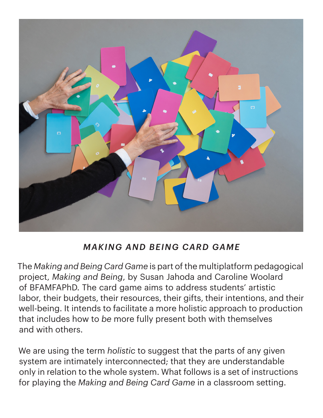

# *MAKING AND BEING CARD GAME*

The *Making and Being Card Game* is part of the multiplatform pedagogical project, *Making and Being*, by Susan Jahoda and Caroline Woolard of BFAMFAPhD. The card game aims to address students' artistic labor, their budgets, their resources, their gifts, their intentions, and their well-being. It intends to facilitate a more holistic approach to production that includes how to *be* more fully present both with themselves and with others.

We are using the term *holistic* to suggest that the parts of any given system are intimately interconnected; that they are understandable only in relation to the whole system. What follows is a set of instructions for playing the *Making and Being Card Game* in a classroom setting.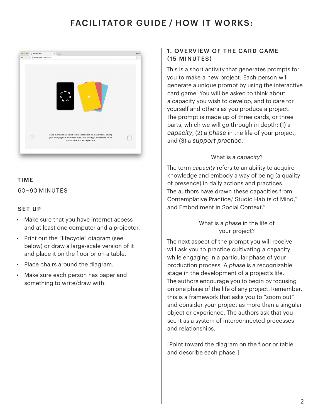## FACILITATOR GUIDE / HOW IT WORKS:



### TIME

60 – 90 MINUTES

#### SET UP

- Make sure that you have internet access and at least one computer and a projector.
- Print out the "lifecycle" diagram (see below) or draw a large-scale version of it and place it on the floor or on a table.
- Place chairs around the diagram.
- Make sure each person has paper and something to write/draw with.

## 1. OVERVIEW OF THE CARD GAME (15 MINUTES)

This is a short activity that generates prompts for you to make a new project. Each person will generate a unique prompt by using the interactive card game. You will be asked to think about a capacity you wish to develop, and to care for yourself and others as you produce a project. The prompt is made up of three cards, or three parts, which we will go through in depth: (1) a *capacity*, (2) a *phase* in the life of your project, and (3) a *support practice*.

### What is a *capacity*?

The term *capacity* refers to an ability to acquire knowledge and embody a way of being (a quality of presence) in daily actions and practices. The authors have drawn these capacities from Contemplative Practice,<sup>1</sup> Studio Habits of Mind,<sup>2</sup> and Embodiment in Social Context.3

## What is a *phase* in the life of your project?

The next aspect of the prompt you will receive will ask you to practice cultivating a capacity while engaging in a particular phase of your production process. A *phase* is a recognizable stage in the development of a project's life. The authors encourage you to begin by focusing on one phase of the life of any project. Remember, this is a framework that asks you to "zoom out" and consider your project as more than a singular object or experience. The authors ask that you see it as a system of interconnected processes and relationships.

[Point toward the diagram on the floor or table and describe each phase.]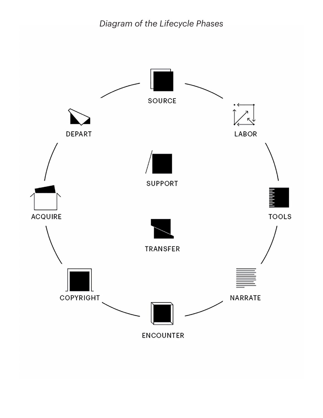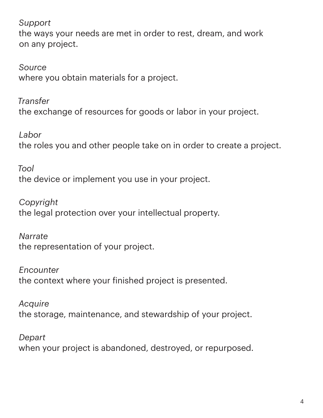*Support*

the ways your needs are met in order to rest, dream, and work on any project.

*Source* where you obtain materials for a project.

*Transfer* the exchange of resources for goods or labor in your project.

*Labor* the roles you and other people take on in order to create a project.

*Tool*  the device or implement you use in your project.

*Copyright* the legal protection over your intellectual property.

*Narrate* the representation of your project.

*Encounter* the context where your finished project is presented.

*Acquire* the storage, maintenance, and stewardship of your project.

*Depart* when your project is abandoned, destroyed, or repurposed.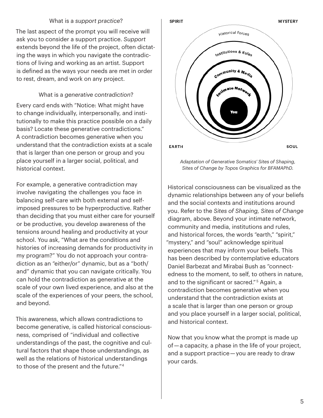#### What is a *support practice*?

The last aspect of the prompt you will receive will ask you to consider a support practice. *Support* extends beyond the life of the project, often dictating the ways in which you navigate the contradictions of living and working as an artist. Support is defined as the ways your needs are met in order to rest, dream, and work on any project.

#### What is a *generative contradiction*?

Every card ends with "Notice: What might have to change individually, interpersonally, and institutionally to make this practice possible on a daily basis? Locate these generative contradictions." A contradiction becomes generative when you understand that the contradiction exists at a scale that is larger than one person or group and you place yourself in a larger social, political, and historical context.

For example, a generative contradiction may involve navigating the challenges you face in balancing self-care with both external and selfimposed pressures to be hyperproductive. Rather than deciding that you must either care for yourself or be productive, you develop awareness of the tensions around healing and productivity at your school. You ask, "What are the conditions and histories of increasing demands for productivity in my program?" You do not approach your contradiction as an "either/or" dynamic, but as a "both/ and" dynamic that you can navigate critically. You can hold the contradiction as generative at the scale of your own lived experience, and also at the scale of the experiences of your peers, the school, and beyond.

This awareness, which allows contradictions to become generative, is called historical consciousness, comprised of "individual and collective understandings of the past, the cognitive and cultural factors that shape those understandings, as well as the relations of historical understandings to those of the present and the future."4



*Adaptation of Generative Somatics' Sites of Shaping, Sites of Change by Topos Graphics for BFAMAPhD.*

Historical consciousness can be visualized as the dynamic relationships between any of your beliefs and the social contexts and institutions around you. Refer to the *Sites of Shaping, Sites of Change* diagram, above. Beyond your intimate network, community and media, institutions and rules, and historical forces, the words "earth," "spirit," "mystery," and "soul" acknowledge spiritual experiences that may inform your beliefs. This has been described by contemplative educators Daniel Barbezat and Mirabai Bush as "connectedness to the moment, to self, to others in nature, and to the significant or sacred." 5 Again, a contradiction becomes generative when you understand that the contradiction exists at a scale that is larger than one person or group and you place yourself in a larger social, political, and historical context.

Now that you know what the prompt is made up of — a capacity, a phase in the life of your project, and a support practice — you are ready to draw your cards.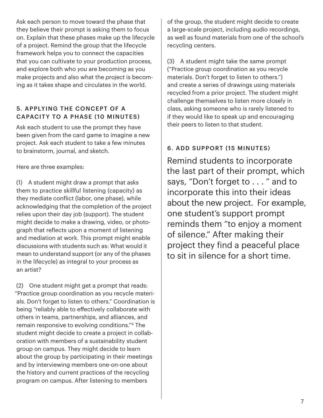Ask each person to move toward the phase that they believe their prompt is asking them to focus on. Explain that these phases make up the lifecycle of a project. Remind the group that the lifecycle framework helps you to connect the capacities that you can cultivate to your production process, and explore both who *you* are becoming as you make projects and also what the *project* is becoming as it takes shape and circulates in the world.

## 5. APPLYING THE CONCEPT OF A CAPACITY TO A PHASE (10 MINUTES)

Ask each student to use the prompt they have been given from the card game to imagine a new project. Ask each student to take a few minutes to brainstorm, journal, and sketch.

Here are three examples:

(1) A student might draw a prompt that asks them to practice skillful listening (capacity) as they mediate conflict (labor, one phase), while acknowledging that the completion of the project relies upon their day job (support). The student might decide to make a drawing, video, or photograph that reflects upon a moment of listening and mediation at work. This prompt might enable discussions with students such as: What would it mean to understand support (or any of the phases in the lifecycle) as integral to your process as an artist?

(2) One student might get a prompt that reads: "Practice group coordination as you recycle materials. Don't forget to listen to others." Coordination is being "reliably able to effectively collaborate with others in teams, partnerships, and alliances, and remain responsive to evolving conditions."6 The student might decide to create a project in collaboration with members of a sustainability student group on campus. They might decide to learn about the group by participating in their meetings and by interviewing members one-on-one about the history and current practices of the recycling program on campus. After listening to members

of the group, the student might decide to create a large-scale project, including audio recordings, as well as found materials from one of the school's recycling centers.

(3) A student might take the same prompt ("Practice group coordination as you recycle materials. Don't forget to listen to others.") and create a series of drawings using materials recycled from a prior project. The student might challenge themselves to listen more closely in class, asking someone who is rarely listened to if they would like to speak up and encouraging their peers to listen to that student.

## 6. ADD SUPPORT (15 MINUTES)

Remind students to incorporate the last part of their prompt, which says, "Don't forget to . . . " and to incorporate this into their ideas about the new project. For example, one student's support prompt reminds them "to enjoy a moment of silence." After making their project they find a peaceful place to sit in silence for a short time.